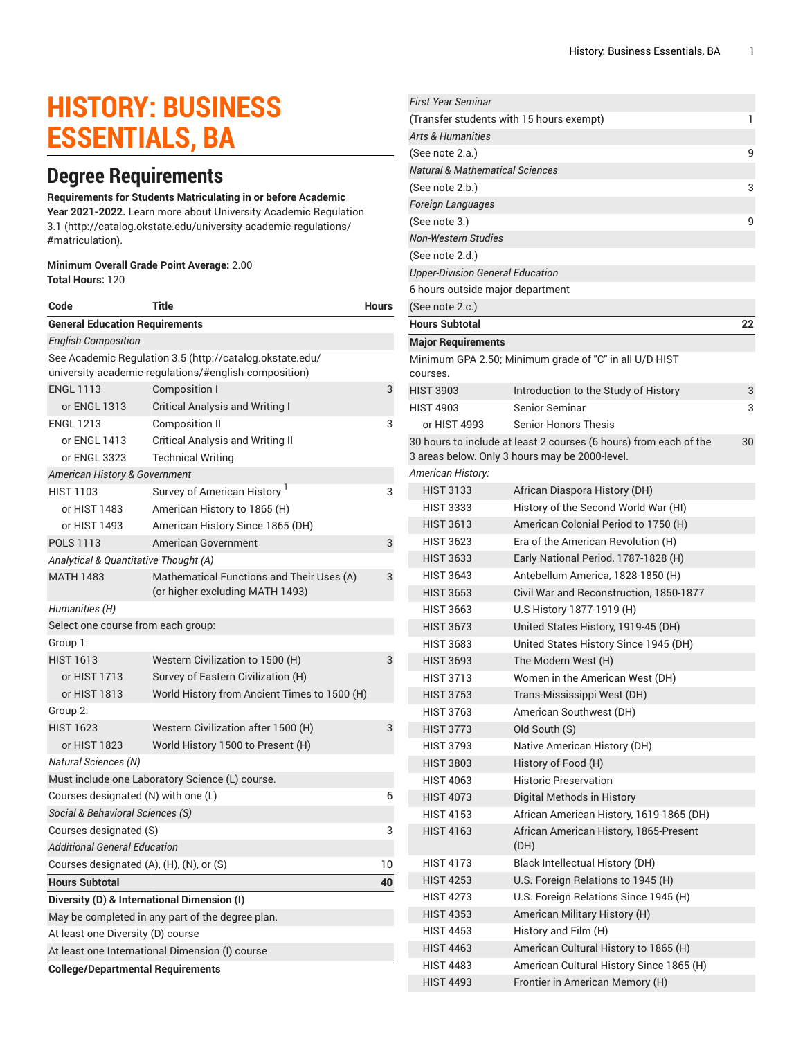# **HISTORY: BUSINESS ESSENTIALS, BA**

# **Degree Requirements**

#### **Requirements for Students Matriculating in or before Academic**

**Year 2021-2022.** Learn more about University Academic [Regulation](http://catalog.okstate.edu/university-academic-regulations/#matriculation) [3.1](http://catalog.okstate.edu/university-academic-regulations/#matriculation) ([http://catalog.okstate.edu/university-academic-regulations/](http://catalog.okstate.edu/university-academic-regulations/#matriculation) [#matriculation\)](http://catalog.okstate.edu/university-academic-regulations/#matriculation).

#### **Minimum Overall Grade Point Average:** 2.00 **Total Hours:** 120

| Code                                                                                                              | Title                                                                        | Hours |  |  |
|-------------------------------------------------------------------------------------------------------------------|------------------------------------------------------------------------------|-------|--|--|
| <b>General Education Requirements</b>                                                                             |                                                                              |       |  |  |
| <b>English Composition</b>                                                                                        |                                                                              |       |  |  |
| See Academic Regulation 3.5 (http://catalog.okstate.edu/<br>university-academic-regulations/#english-composition) |                                                                              |       |  |  |
| <b>ENGL 1113</b>                                                                                                  | Composition I                                                                | 3     |  |  |
| or ENGL 1313                                                                                                      | <b>Critical Analysis and Writing I</b>                                       |       |  |  |
| <b>ENGL 1213</b>                                                                                                  | <b>Composition II</b>                                                        | 3     |  |  |
| or ENGL 1413                                                                                                      | <b>Critical Analysis and Writing II</b>                                      |       |  |  |
| or ENGL 3323                                                                                                      | <b>Technical Writing</b>                                                     |       |  |  |
| American History & Government                                                                                     |                                                                              |       |  |  |
| <b>HIST 1103</b>                                                                                                  | Survey of American History <sup>1</sup>                                      | 3     |  |  |
| or HIST 1483                                                                                                      | American History to 1865 (H)                                                 |       |  |  |
| or HIST 1493                                                                                                      | American History Since 1865 (DH)                                             |       |  |  |
| <b>POLS 1113</b>                                                                                                  | American Government                                                          | 3     |  |  |
| Analytical & Quantitative Thought (A)                                                                             |                                                                              |       |  |  |
| <b>MATH 1483</b>                                                                                                  | Mathematical Functions and Their Uses (A)<br>(or higher excluding MATH 1493) | 3     |  |  |
| Humanities (H)                                                                                                    |                                                                              |       |  |  |
| Select one course from each group:                                                                                |                                                                              |       |  |  |
| Group 1:                                                                                                          |                                                                              |       |  |  |
| <b>HIST 1613</b>                                                                                                  | Western Civilization to 1500 (H)                                             | 3     |  |  |
| or HIST 1713                                                                                                      | Survey of Eastern Civilization (H)                                           |       |  |  |
| or HIST 1813                                                                                                      | World History from Ancient Times to 1500 (H)                                 |       |  |  |
| Group 2:                                                                                                          |                                                                              |       |  |  |
| <b>HIST 1623</b>                                                                                                  | Western Civilization after 1500 (H)                                          | 3     |  |  |
| or HIST 1823                                                                                                      | World History 1500 to Present (H)                                            |       |  |  |
| <b>Natural Sciences (N)</b>                                                                                       |                                                                              |       |  |  |
|                                                                                                                   | Must include one Laboratory Science (L) course.                              |       |  |  |
| Courses designated (N) with one (L)<br>6                                                                          |                                                                              |       |  |  |
| Social & Behavioral Sciences (S)                                                                                  |                                                                              |       |  |  |
| 3<br>Courses designated (S)                                                                                       |                                                                              |       |  |  |
| <b>Additional General Education</b>                                                                               |                                                                              |       |  |  |
| Courses designated (A), (H), (N), or (S)                                                                          |                                                                              | 10    |  |  |
| <b>Hours Subtotal</b>                                                                                             |                                                                              | 40    |  |  |
| Diversity (D) & International Dimension (I)                                                                       |                                                                              |       |  |  |
| May be completed in any part of the degree plan.                                                                  |                                                                              |       |  |  |
| At least one Diversity (D) course                                                                                 |                                                                              |       |  |  |
| At least one International Dimension (I) course                                                                   |                                                                              |       |  |  |
| <b>College/Departmental Requirements</b>                                                                          |                                                                              |       |  |  |

| First Year Seminar                         |                                                                   |    |
|--------------------------------------------|-------------------------------------------------------------------|----|
| (Transfer students with 15 hours exempt)   |                                                                   | 1  |
| <b>Arts &amp; Humanities</b>               |                                                                   |    |
| (See note 2.a.)                            |                                                                   | 9  |
| <b>Natural &amp; Mathematical Sciences</b> |                                                                   |    |
| (See note 2.b.)                            |                                                                   | 3  |
| <b>Foreign Languages</b>                   |                                                                   |    |
| (See note 3.)                              |                                                                   | 9  |
| <b>Non-Western Studies</b>                 |                                                                   |    |
| (See note 2.d.)                            |                                                                   |    |
| <b>Upper-Division General Education</b>    |                                                                   |    |
| 6 hours outside major department           |                                                                   |    |
| (See note 2.c.)                            |                                                                   |    |
| <b>Hours Subtotal</b>                      |                                                                   | 22 |
| <b>Major Requirements</b>                  |                                                                   |    |
|                                            | Minimum GPA 2.50; Minimum grade of "C" in all U/D HIST            |    |
| courses.                                   |                                                                   |    |
| <b>HIST 3903</b>                           | Introduction to the Study of History                              | 3  |
| <b>HIST 4903</b>                           | Senior Seminar                                                    | 3  |
| or HIST 4993                               | <b>Senior Honors Thesis</b>                                       |    |
|                                            | 30 hours to include at least 2 courses (6 hours) from each of the | 30 |
|                                            | 3 areas below. Only 3 hours may be 2000-level.                    |    |
| American History:                          |                                                                   |    |
| <b>HIST 3133</b>                           | African Diaspora History (DH)                                     |    |
| <b>HIST 3333</b>                           | History of the Second World War (HI)                              |    |
| <b>HIST 3613</b>                           | American Colonial Period to 1750 (H)                              |    |
| <b>HIST 3623</b>                           | Era of the American Revolution (H)                                |    |
| <b>HIST 3633</b>                           | Early National Period, 1787-1828 (H)                              |    |
| <b>HIST 3643</b>                           | Antebellum America, 1828-1850 (H)                                 |    |
| <b>HIST 3653</b>                           | Civil War and Reconstruction, 1850-1877                           |    |
| <b>HIST 3663</b>                           | U.S History 1877-1919 (H)                                         |    |
| <b>HIST 3673</b>                           | United States History, 1919-45 (DH)                               |    |
| <b>HIST 3683</b>                           | United States History Since 1945 (DH)                             |    |
| <b>HIST 3693</b>                           | The Modern West (H)                                               |    |
| <b>HIST 3713</b>                           | Women in the American West (DH)                                   |    |
| <b>HIST 3753</b>                           | Trans-Mississippi West (DH)                                       |    |
| <b>HIST 3763</b>                           | American Southwest (DH)                                           |    |
| HIST 3773                                  | Old South (S)                                                     |    |
| <b>HIST 3793</b>                           | Native American History (DH)                                      |    |
| <b>HIST 3803</b>                           | History of Food (H)                                               |    |
| <b>HIST 4063</b>                           | <b>Historic Preservation</b>                                      |    |
| <b>HIST 4073</b>                           | Digital Methods in History                                        |    |
| <b>HIST 4153</b>                           | African American History, 1619-1865 (DH)                          |    |
| <b>HIST 4163</b>                           | African American History, 1865-Present<br>(DH)                    |    |
| HIST 4173                                  | Black Intellectual History (DH)                                   |    |
| <b>HIST 4253</b>                           | U.S. Foreign Relations to 1945 (H)                                |    |
| <b>HIST 4273</b>                           | U.S. Foreign Relations Since 1945 (H)                             |    |
| <b>HIST 4353</b>                           | American Military History (H)                                     |    |
| <b>HIST 4453</b>                           | History and Film (H)                                              |    |
| <b>HIST 4463</b>                           | American Cultural History to 1865 (H)                             |    |
| <b>HIST 4483</b>                           | American Cultural History Since 1865 (H)                          |    |
| <b>HIST 4493</b>                           | Frontier in American Memory (H)                                   |    |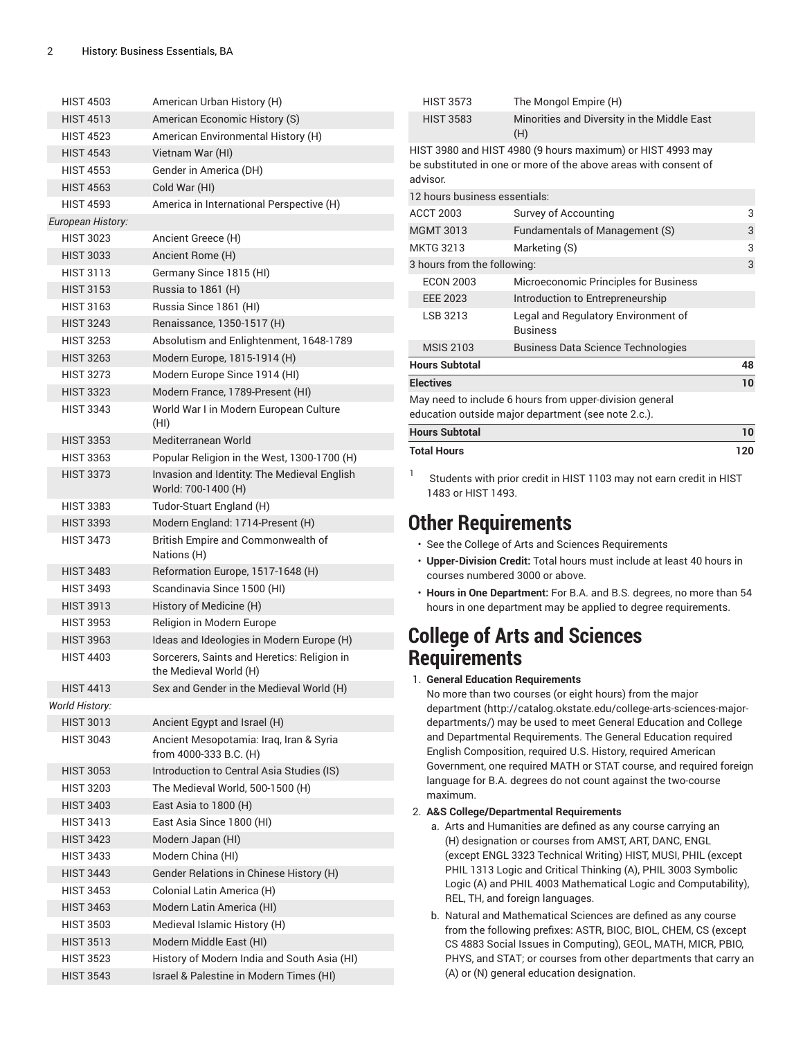| <b>HIST 4503</b>  | American Urban History (H)                                            |
|-------------------|-----------------------------------------------------------------------|
| <b>HIST 4513</b>  | American Economic History (S)                                         |
| <b>HIST 4523</b>  | American Environmental History (H)                                    |
| <b>HIST 4543</b>  | Vietnam War (HI)                                                      |
| <b>HIST 4553</b>  | Gender in America (DH)                                                |
| <b>HIST 4563</b>  | Cold War (HI)                                                         |
| <b>HIST 4593</b>  | America in International Perspective (H)                              |
| European History: |                                                                       |
| <b>HIST 3023</b>  | Ancient Greece (H)                                                    |
| <b>HIST 3033</b>  | Ancient Rome (H)                                                      |
| <b>HIST 3113</b>  |                                                                       |
|                   | Germany Since 1815 (HI)                                               |
| <b>HIST 3153</b>  | Russia to 1861 (H)                                                    |
| <b>HIST 3163</b>  | Russia Since 1861 (HI)                                                |
| <b>HIST 3243</b>  | Renaissance, 1350-1517 (H)                                            |
| <b>HIST 3253</b>  | Absolutism and Enlightenment, 1648-1789                               |
| <b>HIST 3263</b>  | Modern Europe, 1815-1914 (H)                                          |
| <b>HIST 3273</b>  | Modern Europe Since 1914 (HI)                                         |
| <b>HIST 3323</b>  | Modern France, 1789-Present (HI)                                      |
| <b>HIST 3343</b>  | World War I in Modern European Culture<br>(HI)                        |
| <b>HIST 3353</b>  | Mediterranean World                                                   |
| <b>HIST 3363</b>  | Popular Religion in the West, 1300-1700 (H)                           |
| <b>HIST 3373</b>  | Invasion and Identity: The Medieval English<br>World: 700-1400 (H)    |
| <b>HIST 3383</b>  | Tudor-Stuart England (H)                                              |
| <b>HIST 3393</b>  | Modern England: 1714-Present (H)                                      |
| <b>HIST 3473</b>  | British Empire and Commonwealth of<br>Nations (H)                     |
| <b>HIST 3483</b>  | Reformation Europe, 1517-1648 (H)                                     |
| <b>HIST 3493</b>  | Scandinavia Since 1500 (HI)                                           |
| <b>HIST 3913</b>  | History of Medicine (H)                                               |
| <b>HIST 3953</b>  | Religion in Modern Europe                                             |
| <b>HIST 3963</b>  | Ideas and Ideologies in Modern Europe (H)                             |
| <b>HIST 4403</b>  | Sorcerers, Saints and Heretics: Religion in<br>the Medieval World (H) |
| <b>HIST 4413</b>  | Sex and Gender in the Medieval World (H)                              |
| World History:    |                                                                       |
| <b>HIST 3013</b>  | Ancient Egypt and Israel (H)                                          |
| HIST 3043         | Ancient Mesopotamia: Iraq, Iran & Syria<br>from 4000-333 B.C. (H)     |
| <b>HIST 3053</b>  | Introduction to Central Asia Studies (IS)                             |
| <b>HIST 3203</b>  | The Medieval World, 500-1500 (H)                                      |
| <b>HIST 3403</b>  | East Asia to 1800 (H)                                                 |
| <b>HIST 3413</b>  | East Asia Since 1800 (HI)                                             |
| <b>HIST 3423</b>  | Modern Japan (HI)                                                     |
| <b>HIST 3433</b>  | Modern China (HI)                                                     |
|                   |                                                                       |
| <b>HIST 3443</b>  | Gender Relations in Chinese History (H)                               |
| <b>HIST 3453</b>  | Colonial Latin America (H)                                            |
| <b>HIST 3463</b>  | Modern Latin America (HI)                                             |
| <b>HIST 3503</b>  | Medieval Islamic History (H)                                          |
| <b>HIST 3513</b>  | Modern Middle East (HI)                                               |
| HIST 3523         | History of Modern India and South Asia (HI)                           |
| <b>HIST 3543</b>  | Israel & Palestine in Modern Times (HI)                               |

| <b>HIST 3573</b>              | The Mongol Empire (H)                                                                                                          |     |  |  |
|-------------------------------|--------------------------------------------------------------------------------------------------------------------------------|-----|--|--|
| <b>HIST 3583</b>              | Minorities and Diversity in the Middle East<br>(H)                                                                             |     |  |  |
| advisor.                      | HIST 3980 and HIST 4980 (9 hours maximum) or HIST 4993 may<br>be substituted in one or more of the above areas with consent of |     |  |  |
| 12 hours business essentials: |                                                                                                                                |     |  |  |
| <b>ACCT 2003</b>              | Survey of Accounting                                                                                                           | 3   |  |  |
| <b>MGMT 3013</b>              | Fundamentals of Management (S)                                                                                                 | 3   |  |  |
| <b>MKTG 3213</b>              | Marketing (S)                                                                                                                  | 3   |  |  |
| 3 hours from the following:   |                                                                                                                                |     |  |  |
| <b>ECON 2003</b>              | Microeconomic Principles for Business                                                                                          |     |  |  |
| <b>EEE 2023</b>               | Introduction to Entrepreneurship                                                                                               |     |  |  |
| LSB 3213                      | Legal and Regulatory Environment of<br><b>Business</b>                                                                         |     |  |  |
| <b>MSIS 2103</b>              | <b>Business Data Science Technologies</b>                                                                                      |     |  |  |
| <b>Hours Subtotal</b>         |                                                                                                                                | 48  |  |  |
| <b>Electives</b>              |                                                                                                                                | 10  |  |  |
|                               | May need to include 6 hours from upper-division general<br>education outside major department (see note 2.c.).                 |     |  |  |
| <b>Hours Subtotal</b>         |                                                                                                                                | 10  |  |  |
| <b>Total Hours</b>            |                                                                                                                                | 120 |  |  |

Students with prior credit in HIST 1103 may not earn credit in HIST 1483 or HIST 1493.

### **Other Requirements**

1

- See the College of Arts and Sciences Requirements
- **Upper-Division Credit:** Total hours must include at least 40 hours in courses numbered 3000 or above.
- **Hours in One Department:** For B.A. and B.S. degrees, no more than 54 hours in one department may be applied to degree requirements.

## **College of Arts and Sciences Requirements**

1. **General Education Requirements**

No more than two courses (or eight hours) from [the major](http://catalog.okstate.edu/college-arts-sciences-major-departments/) [department](http://catalog.okstate.edu/college-arts-sciences-major-departments/) ([http://catalog.okstate.edu/college-arts-sciences-major](http://catalog.okstate.edu/college-arts-sciences-major-departments/)[departments/\)](http://catalog.okstate.edu/college-arts-sciences-major-departments/) may be used to meet General Education and College and Departmental Requirements. The General Education required English Composition, required U.S. History, required American Government, one required MATH or STAT course, and required foreign language for B.A. degrees do not count against the two-course maximum.

#### 2. **A&S College/Departmental Requirements**

- a. Arts and Humanities are defined as any course carrying an (H) designation or courses from AMST, ART, DANC, ENGL (except ENGL 3323 Technical Writing) HIST, MUSI, PHIL (except PHIL 1313 Logic and Critical Thinking (A), PHIL 3003 Symbolic Logic (A) and PHIL 4003 Mathematical Logic and Computability), REL, TH, and foreign languages.
- b. Natural and Mathematical Sciences are defined as any course from the following prefixes: ASTR, BIOC, BIOL, CHEM, CS (except CS 4883 Social Issues in Computing), GEOL, MATH, MICR, PBIO, PHYS, and STAT; or courses from other departments that carry an (A) or (N) general education designation.